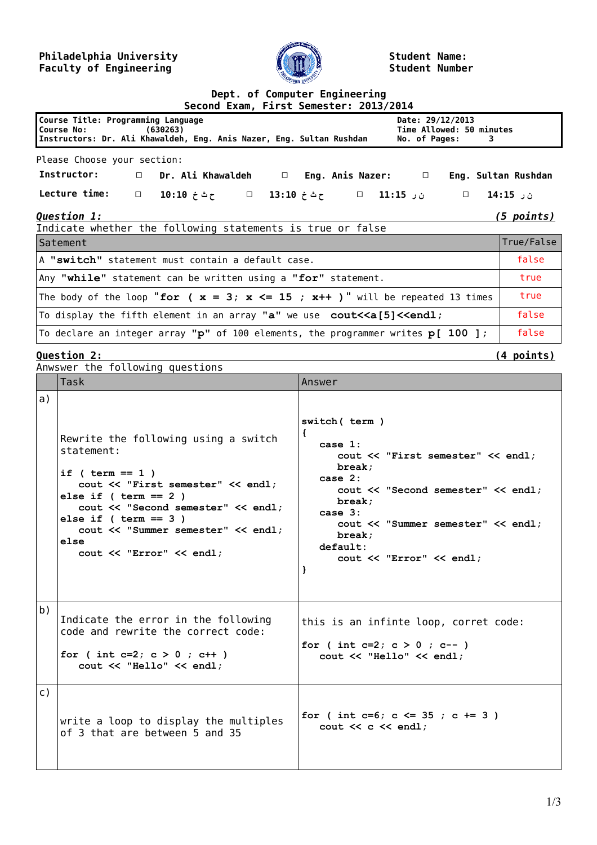## **Philadelphia University Faculty of Engineering**



**Student Name: Student Number**

## **Dept. of Computer Engineering**

| Second Exam, First Semester: 2013/2014                                                                                                                                                                  |                     |  |  |
|---------------------------------------------------------------------------------------------------------------------------------------------------------------------------------------------------------|---------------------|--|--|
| Course Title: Programming Language<br>Date: 29/12/2013<br>Time Allowed: 50 minutes<br>Course No: (630263)<br>Instructors: Dr. Ali Khawaldeh, Eng. Anis Nazer, Eng. Sultan Rushdan<br>No. of Pages:<br>3 |                     |  |  |
| Please Choose your section:                                                                                                                                                                             |                     |  |  |
| Instructor:<br>$\Box$ Dr. Ali Khawaldeh $\Box$ Eng. Anis Nazer: $\Box$                                                                                                                                  | Eng. Sultan Rushdan |  |  |
| <b>Lecture time:</b><br>□ 10:10 ± حثخ 11:10 □ حثثخ 13:10 □                                                                                                                                              | ن ر 15:15           |  |  |
| <b>Question 1:</b><br><u>(5 points)</u><br>Indicate whether the following statements is true or false                                                                                                   |                     |  |  |
| Satement                                                                                                                                                                                                | True/False          |  |  |
| A "switch" statement must contain a default case.                                                                                                                                                       |                     |  |  |
| Any "while" statement can be written using a "for" statement.                                                                                                                                           |                     |  |  |
| The body of the loop "for ( $x = 3$ ; $x \le -15$ ; $x++$ )" will be repeated 13 times                                                                                                                  |                     |  |  |
| To display the fifth element in an array "a" we use cout< <a[5]<<endl;< td=""></a[5]<<endl;<>                                                                                                           |                     |  |  |
| To declare an integer array " $p$ " of 100 elements, the programmer writes $p[100]$ ;                                                                                                                   | false               |  |  |

**Question 2: (4 points)**

|                | Anwswer the following questions                                                                                                                                                                                                                                                           |                                                                                                                                                                                                                                                       |  |  |
|----------------|-------------------------------------------------------------------------------------------------------------------------------------------------------------------------------------------------------------------------------------------------------------------------------------------|-------------------------------------------------------------------------------------------------------------------------------------------------------------------------------------------------------------------------------------------------------|--|--|
|                | Task                                                                                                                                                                                                                                                                                      | Answer                                                                                                                                                                                                                                                |  |  |
| a)             | Rewrite the following using a switch<br>statement:<br>if $($ term == 1 $)$<br>cout << "First semester" << endl;<br>else if $($ term == 2 $)$<br>cout << "Second semester" << endl;<br>else if $($ term == 3 $)$<br>cout << "Summer semester" << endl;<br>else<br>cout << "Error" << endl; | switch ( term )<br>€<br>case 1:<br>cout << "First semester" << endl;<br>break:<br>case $2:$<br>cout << "Second semester" << endl;<br>break:<br>case $3:$<br>cout << "Summer semester" << endl;<br>break;<br>default:<br>cout << "Error" << endl;<br>ł |  |  |
| b)             | Indicate the error in the following<br>code and rewrite the correct code:<br>for ( int c=2; $c > 0$ ; c++ )<br>cout << "Hello" << endl;                                                                                                                                                   | this is an infinte loop, corret code:<br>for ( int c=2; $c > 0$ ; c-- )<br>cout << "Hello" << endl;                                                                                                                                                   |  |  |
| $\mathsf{C}$ ) | write a loop to display the multiples<br>of 3 that are between 5 and 35                                                                                                                                                                                                                   | for ( int c=6; c <= 35; c += 3)<br>$\cot \prec c \prec \text{end}$ :                                                                                                                                                                                  |  |  |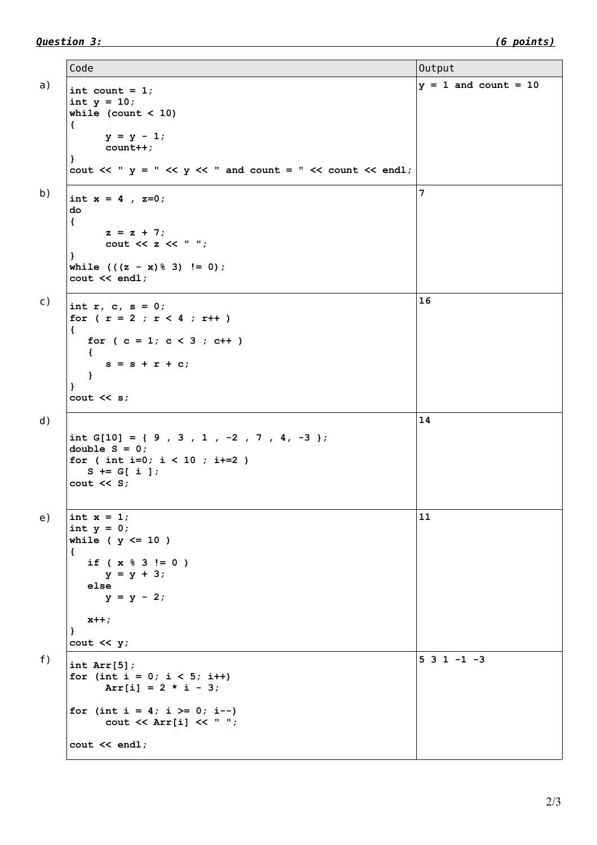Code Output a)  $\int$  int count = 1; **int y = 10; while (count < 10) { y = y - 1; count++; }** cout  $\ll$  "  $y$  = "  $\ll$   $y \ll$  " and count = "  $\ll$  count  $\ll$  endl;  $y = 1$  and count = 10 b)  $\int \int \text{int } x = 4$ , z=0; **do { z = z + 7; cout << z << " "; }** while  $(((z - x) \, \frac{1}{6} \, 3) \, != \, 0);$ **cout << endl; 7** c)  $\int \frac{1}{\pi} \pi r, c, s = 0;$ for (  $r = 2$  ;  $r < 4$  ;  $r^{++}$  ) **{** for  $(c = 1; c < 3; c++)$  **{**  $s = s + r + c$ ;  **} } cout << s; 16** d) **int G[10] = { 9 , 3 , 1 , -2 , 7 , 4, -3 }; double S = 0; for ( int i=0; i < 10 ; i+=2 ) S += G[ i ]; cout << S; 14** e)  $\vert \text{int } x = 1;$ **int y = 0; while ( y <= 10 ) { if ( x % 3 != 0 ) y = y + 3; else y = y - 2; x++; } cout << y; 11** f)  $\vert$  int Arr[5]; for (int  $i = 0$ ;  $i < 5$ ;  $i++)$  $Arr[i] = 2 * i - 3;$ for (int  $i = 4$ ;  $i \ge 0$ ;  $i$ --) **cout << Arr[i] << " "; cout << endl; 5 3 1 -1 -3**